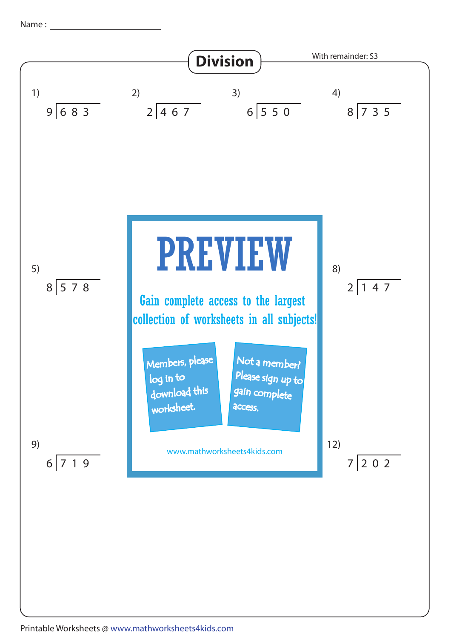